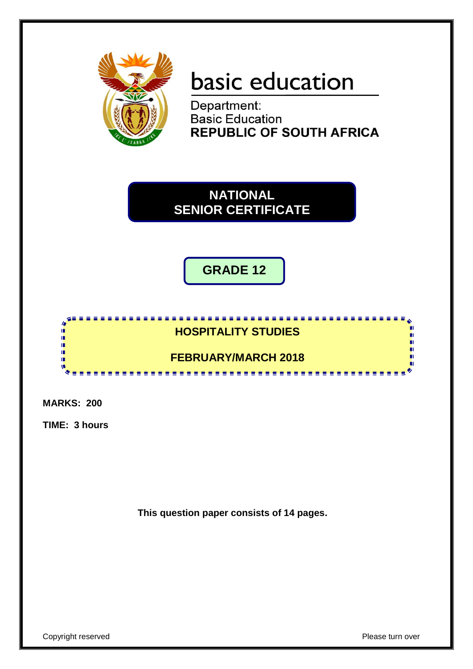

# basic education

Department:<br>Basic Education **REPUBLIC OF SOUTH AFRICA** 

**NATIONAL SENIOR CERTIFICATE**

**GRADE 12**



**MARKS: 200**

**TIME: 3 hours**

**This question paper consists of 14 pages.**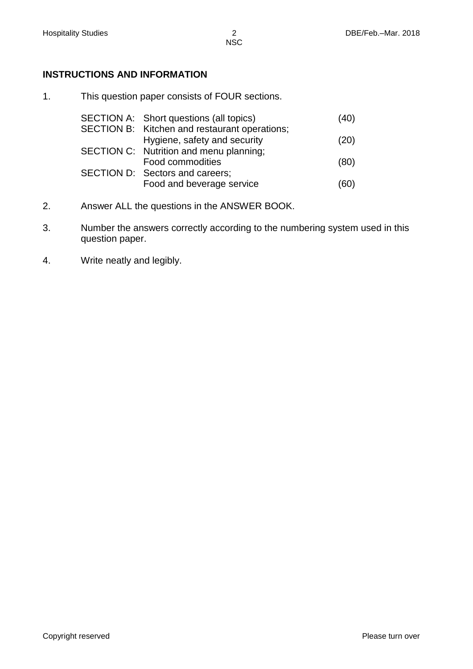# **INSTRUCTIONS AND INFORMATION**

1. This question paper consists of FOUR sections.

| SECTION A: Short questions (all topics)       | (40) |
|-----------------------------------------------|------|
| SECTION B: Kitchen and restaurant operations; |      |
| Hygiene, safety and security                  | (20) |
| SECTION C: Nutrition and menu planning;       |      |
| Food commodities                              | (80) |
| SECTION D: Sectors and careers;               |      |
| Food and beverage service                     | (60) |

- 2. Answer ALL the questions in the ANSWER BOOK.
- 3. Number the answers correctly according to the numbering system used in this question paper.
- 4. Write neatly and legibly.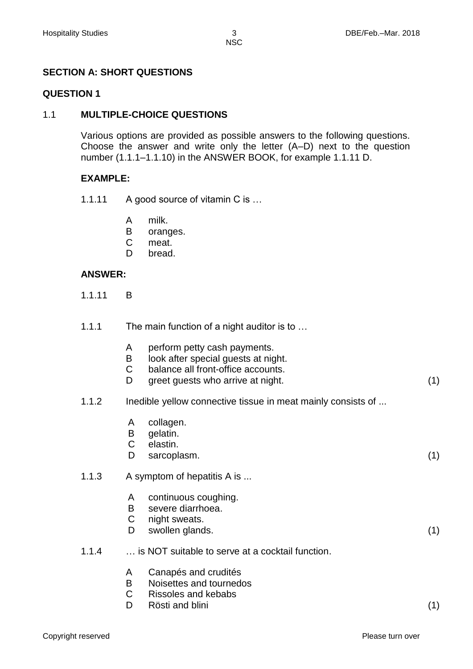**NSC** 

# **SECTION A: SHORT QUESTIONS**

#### **QUESTION 1**

#### 1.1 **MULTIPLE-CHOICE QUESTIONS**

Various options are provided as possible answers to the following questions. Choose the answer and write only the letter (A–D) next to the question number (1.1.1–1.1.10) in the ANSWER BOOK, for example 1.1.11 D.

## **EXAMPLE:**

- 1.1.11 A good source of vitamin C is ...
	- A milk.
	- B oranges.
	- C meat.
	- D. bread.

## **ANSWER:**

- 1.1.11 B
- 1.1.1 The main function of a night auditor is to ...
	- A perform petty cash payments.
	- B look after special guests at night.
	- C balance all front-office accounts.
	- D greet guests who arrive at night. (1)
- 1.1.2 Inedible yellow connective tissue in meat mainly consists of ...
	- A collagen.
	- B gelatin.
	- C elastin.
	- D. sarcoplasm. (1)
- 1.1.3 A symptom of hepatitis A is ...
	- A continuous coughing.
	- B severe diarrhoea.
	- $\mathsf{C}$ night sweats.
	- D swollen glands. (1)
- 1.1.4 … is NOT suitable to serve at a cocktail function.
	- A Canapés and crudités
	- B Noisettes and tournedos
	- $\mathsf{C}$ Rissoles and kebabs
	- D. Rösti and blini (1)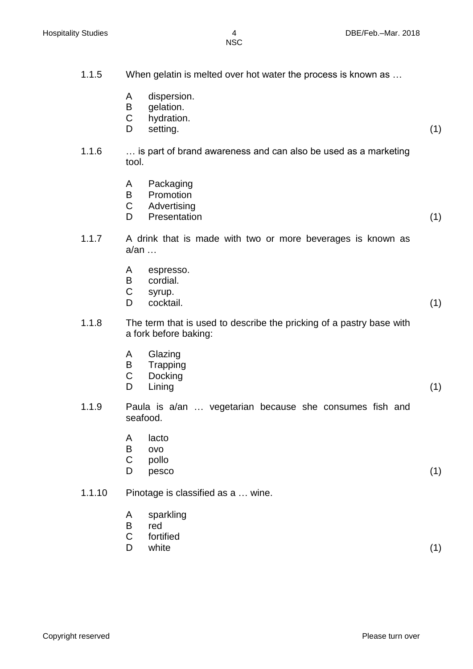| 1.1.5  |                  | When gelatin is melted over hot water the process is known as                                 |     |
|--------|------------------|-----------------------------------------------------------------------------------------------|-----|
|        | A<br>B<br>C<br>D | dispersion.<br>gelation.<br>hydration.<br>setting.                                            | (1) |
| 1.1.6  | tool.            | is part of brand awareness and can also be used as a marketing                                |     |
|        | A<br>B<br>C<br>D | Packaging<br>Promotion<br>Advertising<br>Presentation                                         | (1) |
| 1.1.7  | $a$ /an $\dots$  | A drink that is made with two or more beverages is known as                                   |     |
|        | A<br>B<br>C<br>D | espresso.<br>cordial.<br>syrup.<br>cocktail.                                                  | (1) |
| 1.1.8  |                  | The term that is used to describe the pricking of a pastry base with<br>a fork before baking: |     |
|        | A<br>Β<br>C<br>D | Glazing<br>Trapping<br>Docking<br>Lining                                                      | (1) |
| 1.1.9  |                  | Paula is a/an  vegetarian because she consumes fish and<br>seafood.                           |     |
|        | A<br>B<br>C<br>D | lacto<br><b>OVO</b><br>pollo<br>pesco                                                         | (1) |
| 1.1.10 |                  | Pinotage is classified as a  wine.                                                            |     |
|        | A<br>B<br>C<br>D | sparkling<br>red<br>fortified<br>white                                                        | (1) |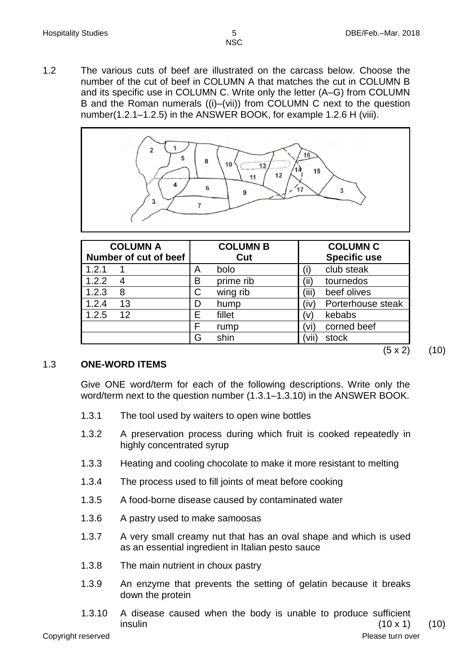1.2 The various cuts of beef are illustrated on the carcass below. Choose the number of the cut of beef in COLUMN A that matches the cut in COLUMN B and its specific use in COLUMN C. Write only the letter (A–G) from COLUMN B and the Roman numerals ((i)–(vii)) from COLUMN C next to the question number(1.2.1–1.2.5) in the ANSWER BOOK, for example 1.2.6 H (viii).



| <b>COLUMN A</b>       | <b>COLUMN B</b> | <b>COLUMN C</b>           |
|-----------------------|-----------------|---------------------------|
| Number of cut of beef | Cut             | <b>Specific use</b>       |
| 1.2.1                 | bolo<br>Α       | club steak                |
| 1.2.2                 | prime rib<br>B  | (ii)<br>tournedos         |
| 1.2.3<br>8            | wing rib<br>C   | (iii)<br>beef olives      |
| 13<br>1.2.4           | D<br>hump       | Porterhouse steak<br>(iv) |
| 12<br>1.2.5           | E<br>fillet     | kebabs<br>'Vì             |
|                       | F<br>rump       | corned beef<br>'vi)       |
|                       | shin<br>G       | (vii<br>stock             |

#### 1.3 **ONE-WORD ITEMS**

Give ONE word/term for each of the following descriptions. Write only the word/term next to the question number (1.3.1–1.3.10) in the ANSWER BOOK.

- 1.3.1 The tool used by waiters to open wine bottles
- 1.3.2 A preservation process during which fruit is cooked repeatedly in highly concentrated syrup
- 1.3.3 Heating and cooling chocolate to make it more resistant to melting
- 1.3.4 The process used to fill joints of meat before cooking
- 1.3.5 A food-borne disease caused by contaminated water
- 1.3.6 A pastry used to make samoosas
- 1.3.7 A very small creamy nut that has an oval shape and which is used as an essential ingredient in Italian pesto sauce
- 1.3.8 The main nutrient in choux pastry
- 1.3.9 An enzyme that prevents the setting of gelatin because it breaks down the protein
- 1.3.10 A disease caused when the body is unable to produce sufficient  $\hbox{insulin} \hspace{1.5cm} (10 \times 1) \hspace{1.5cm} (10)$

 $(5 \times 2)$   $(10)$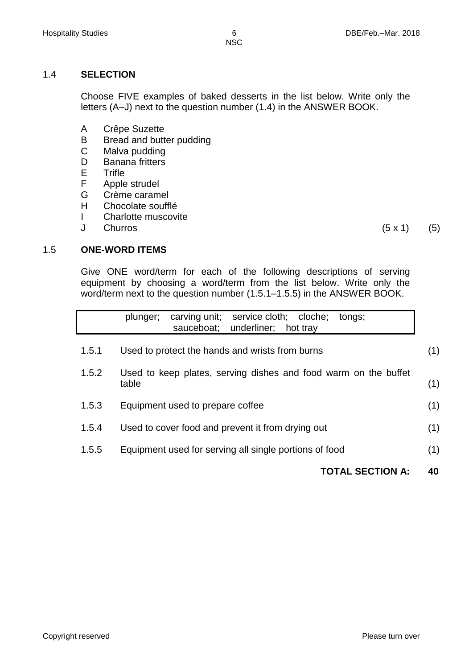## 1.4 **SELECTION**

Choose FIVE examples of baked desserts in the list below. Write only the letters (A–J) next to the question number (1.4) in the ANSWER BOOK.

- A Crêpe Suzette
- B Bread and butter pudding
- C Malva pudding
- D Banana fritters
- E **Trifle**
- F Apple strudel
- G Crème caramel
- H Chocolate soufflé
- I Charlotte muscovite
- $\mathbf{J}$ Churros  $(5 \times 1)$   $(5)$

## 1.5 **ONE-WORD ITEMS**

Give ONE word/term for each of the following descriptions of serving equipment by choosing a word/term from the list below. Write only the word/term next to the question number (1.5.1–1.5.5) in the ANSWER BOOK.

|       | service cloth; cloche;<br>carving unit;<br>plunger;<br>tongs;<br>sauceboat;<br>underliner;<br>hot tray |     |
|-------|--------------------------------------------------------------------------------------------------------|-----|
| 1.5.1 | Used to protect the hands and wrists from burns                                                        | (1) |
| 1.5.2 | Used to keep plates, serving dishes and food warm on the buffet<br>table                               | (1) |
| 1.5.3 | Equipment used to prepare coffee                                                                       | (1) |
| 1.5.4 | Used to cover food and prevent it from drying out                                                      | (1) |
| 1.5.5 | Equipment used for serving all single portions of food                                                 | (1) |
|       | <b>TOTAL SECTION A:</b>                                                                                | 40  |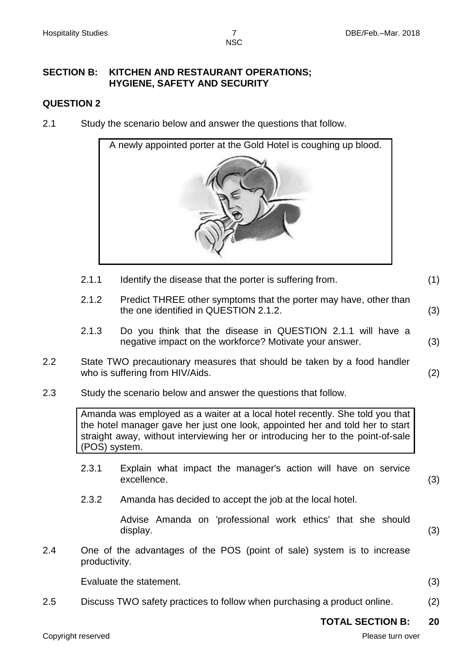**NSC** 

#### **SECTION B: KITCHEN AND RESTAURANT OPERATIONS; HYGIENE, SAFETY AND SECURITY**

## **QUESTION 2**

2.1 Study the scenario below and answer the questions that follow.



- 2.1.1 Identify the disease that the porter is suffering from. (1)
- 2.1.2 Predict THREE other symptoms that the porter may have, other than the one identified in QUESTION 2.1.2. (3)
- 2.1.3 Do you think that the disease in QUESTION 2.1.1 will have a negative impact on the workforce? Motivate your answer. (3)
- 2.2 State TWO precautionary measures that should be taken by a food handler who is suffering from HIV/Aids. (2)
- 2.3 Study the scenario below and answer the questions that follow.

Amanda was employed as a waiter at a local hotel recently. She told you that the hotel manager gave her just one look, appointed her and told her to start straight away, without interviewing her or introducing her to the point-of-sale (POS) system.

- 2.3.1 Explain what impact the manager's action will have on service excellence. (3)
- 2.3.2 Amanda has decided to accept the job at the local hotel.

Advise Amanda on 'professional work ethics' that she should display. (3)

2.4 One of the advantages of the POS (point of sale) system is to increase productivity.

Evaluate the statement. (3)

2.5 Discuss TWO safety practices to follow when purchasing a product online. (2)

#### **TOTAL SECTION B: 20**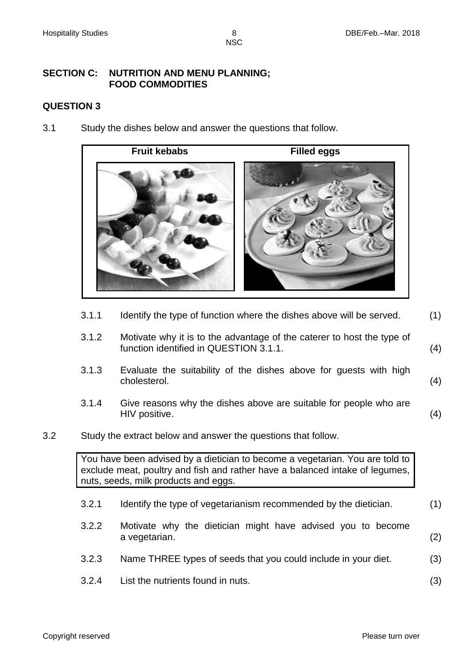NSC

#### **SECTION C: NUTRITION AND MENU PLANNING; FOOD COMMODITIES**

#### **QUESTION 3**

3.1 Study the dishes below and answer the questions that follow.



- 3.1.1 Identify the type of function where the dishes above will be served. (1)
- 3.1.2 Motivate why it is to the advantage of the caterer to host the type of function identified in QUESTION 3.1.1. (4)
- 3.1.3 Evaluate the suitability of the dishes above for guests with high cholesterol. (4)
- 3.1.4 Give reasons why the dishes above are suitable for people who are HIV positive. (4)
- 3.2 Study the extract below and answer the questions that follow.

You have been advised by a dietician to become a vegetarian. You are told to exclude meat, poultry and fish and rather have a balanced intake of legumes, nuts, seeds, milk products and eggs.

- 3.2.1 Identify the type of vegetarianism recommended by the dietician. (1)
- 3.2.2 Motivate why the dietician might have advised you to become a vegetarian. (2)
- 3.2.3 Name THREE types of seeds that you could include in your diet. (3)
- 3.2.4 List the nutrients found in nuts. (3)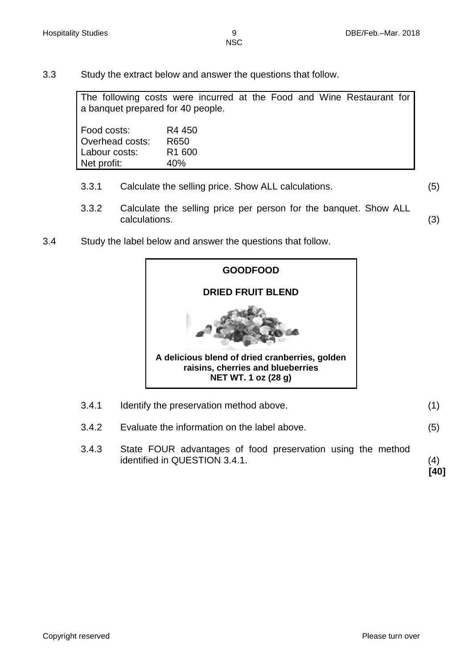3.3 Study the extract below and answer the questions that follow.

The following costs were incurred at the Food and Wine Restaurant for a banquet prepared for 40 people.

Food costs: R4 450 Overhead costs: R650 Labour costs: R1 600 Net profit: 40%

- 3.3.1 Calculate the selling price. Show ALL calculations. (5)
- 3.3.2 Calculate the selling price per person for the banquet. Show ALL calculations. (3)
- 3.4 Study the label below and answer the questions that follow.



- 3.4.1 Identify the preservation method above. (1)
- 3.4.2 Evaluate the information on the label above. (5)
- 3.4.3 State FOUR advantages of food preservation using the method identified in QUESTION 3.4.1. (4)

**[40]**

Copyright reserved **Please turn over the Copyright reserved** Please turn over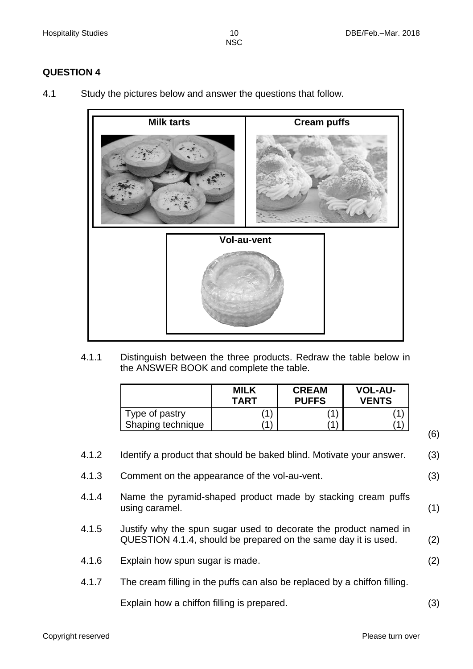# **QUESTION 4**

4.1 Study the pictures below and answer the questions that follow.



4.1.1 Distinguish between the three products. Redraw the table below in the ANSWER BOOK and complete the table.

|                   | <b>MILK</b><br>TART | <b>CREAM</b><br><b>PUFFS</b> | <b>VOL-AU-</b><br><b>VENTS</b> |
|-------------------|---------------------|------------------------------|--------------------------------|
| Type of pastry    |                     |                              |                                |
| Shaping technique |                     |                              |                                |

- 4.1.2 Identify a product that should be baked blind. Motivate your answer. (3)
- 4.1.3 Comment on the appearance of the vol-au-vent. (3)
- 4.1.4 Name the pyramid-shaped product made by stacking cream puffs using caramel. (1)
- 4.1.5 Justify why the spun sugar used to decorate the product named in QUESTION 4.1.4, should be prepared on the same day it is used. (2)
- 4.1.6 Explain how spun sugar is made. (2)
- 4.1.7 The cream filling in the puffs can also be replaced by a chiffon filling.

Explain how a chiffon filling is prepared. (3)

(6)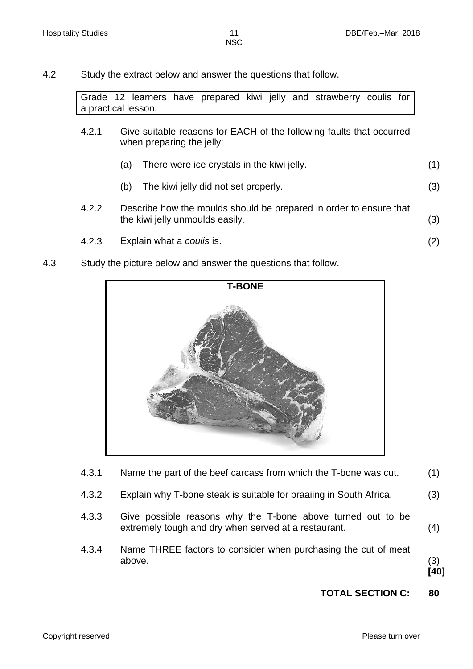4.2 Study the extract below and answer the questions that follow.

Grade 12 learners have prepared kiwi jelly and strawberry coulis for a practical lesson.

- 4.2.1 Give suitable reasons for EACH of the following faults that occurred when preparing the jelly:
	- (a) There were ice crystals in the kiwi jelly. (1)
	- (b) The kiwi jelly did not set properly. (3)
- 4.2.2 Describe how the moulds should be prepared in order to ensure that the kiwi jelly unmoulds easily. (3)
- 4.2.3 Explain what a *coulis* is. (2)
- 4.3 Study the picture below and answer the questions that follow.



- 4.3.1 Name the part of the beef carcass from which the T-bone was cut. (1)
- 4.3.2 Explain why T-bone steak is suitable for braaiing in South Africa. (3)
- 4.3.3 Give possible reasons why the T-bone above turned out to be extremely tough and dry when served at a restaurant. (4)
- 4.3.4 Name THREE factors to consider when purchasing the cut of meat above. (3)

**[40]**

#### **TOTAL SECTION C: 80**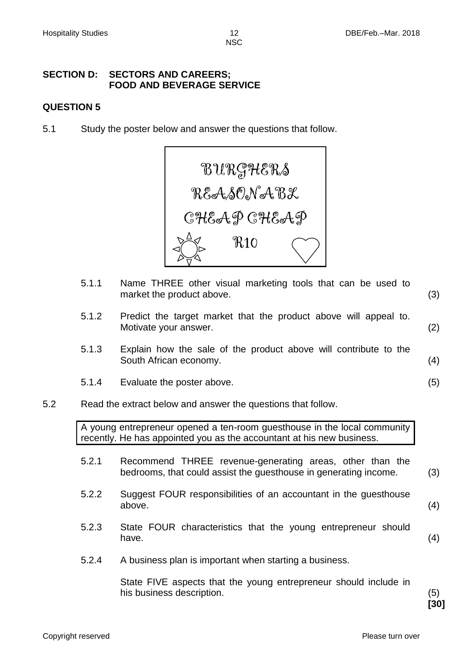# **SECTION D: SECTORS AND CAREERS; FOOD AND BEVERAGE SERVICE**

#### **QUESTION 5**

5.1 Study the poster below and answer the questions that follow.



- 5.1.1 Name THREE other visual marketing tools that can be used to market the product above. (3) 5.1.2 Predict the target market that the product above will appeal to. Motivate your answer. (2)
- 5.1.3 Explain how the sale of the product above will contribute to the South African economy. (4)
- 5.1.4 Evaluate the poster above. (5)
- 5.2 Read the extract below and answer the questions that follow.

A young entrepreneur opened a ten-room guesthouse in the local community recently. He has appointed you as the accountant at his new business.

- 5.2.1 Recommend THREE revenue-generating areas, other than the bedrooms, that could assist the guesthouse in generating income. (3)
- 5.2.2 Suggest FOUR responsibilities of an accountant in the guesthouse above. (4)
- 5.2.3 State FOUR characteristics that the young entrepreneur should have.  $(4)$
- 5.2.4 A business plan is important when starting a business.

State FIVE aspects that the young entrepreneur should include in his business description. (5)

**[30]**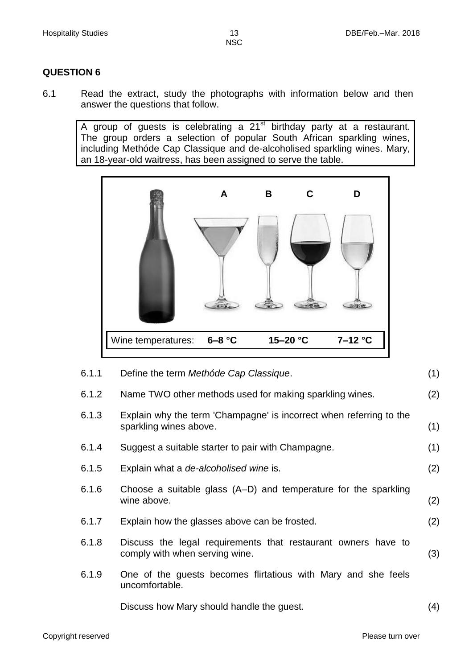## **QUESTION 6**

6.1 Read the extract, study the photographs with information below and then answer the questions that follow.

A group of guests is celebrating a 21<sup>st</sup> birthday party at a restaurant. The group orders a selection of popular South African sparkling wines, including Methóde Cap Classique and de-alcoholised sparkling wines. Mary, an 18-year-old waitress, has been assigned to serve the table.



| 6.1.1 | Define the term Methóde Cap Classique.                                                          | (1) |
|-------|-------------------------------------------------------------------------------------------------|-----|
| 6.1.2 | Name TWO other methods used for making sparkling wines.                                         | (2) |
| 6.1.3 | Explain why the term 'Champagne' is incorrect when referring to the<br>sparkling wines above.   | (1) |
| 6.1.4 | Suggest a suitable starter to pair with Champagne.                                              | (1) |
| 6.1.5 | Explain what a <i>de-alcoholised wine</i> is.                                                   | (2) |
| 6.1.6 | Choose a suitable glass (A–D) and temperature for the sparkling<br>wine above.                  | (2) |
| 6.1.7 | Explain how the glasses above can be frosted.                                                   | (2) |
| 6.1.8 | Discuss the legal requirements that restaurant owners have to<br>comply with when serving wine. | (3) |
| 6.1.9 | One of the guests becomes flirtatious with Mary and she feels<br>uncomfortable.                 |     |
|       | Discuss how Mary should handle the guest.                                                       | (4) |